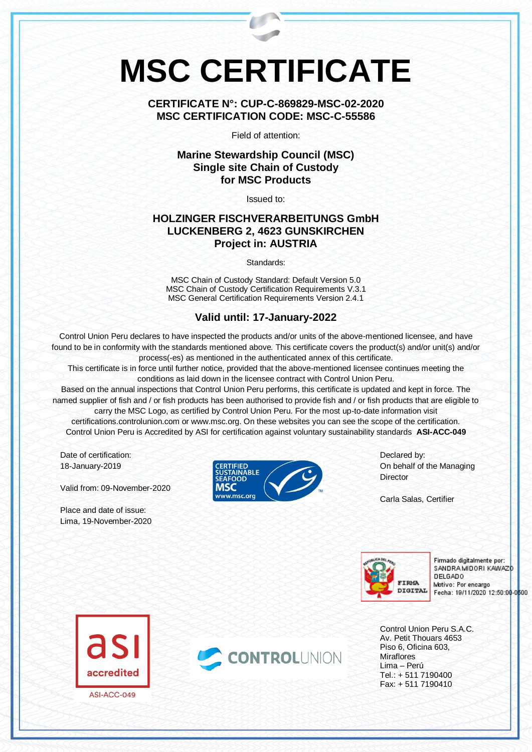# **MSC CERTIFICATE**

**CERTIFICATE N°: CUP-C-869829-MSC-02-2020 MSC CERTIFICATION CODE: MSC-C-55586**

Field of attention:

## **Marine Stewardship Council (MSC) Single site Chain of Custody for MSC Products**

Issued to:

### **HOLZINGER FISCHVERARBEITUNGS GmbH LUCKENBERG 2, 4623 GUNSKIRCHEN Project in: AUSTRIA**

Standards:

MSC Chain of Custody Standard: Default Version 5.0 MSC Chain of Custody Certification Requirements V.3.1 MSC General Certification Requirements Version 2.4.1

## **Valid until: 17-January-2022**

Control Union Peru declares to have inspected the products and/or units of the above-mentioned licensee, and have found to be in conformity with the standards mentioned above. This certificate covers the product(s) and/or unit(s) and/or process(-es) as mentioned in the authenticated annex of this certificate.

This certificate is in force until further notice, provided that the above-mentioned licensee continues meeting the conditions as laid down in the licensee contract with Control Union Peru.

Based on the annual inspections that Control Union Peru performs, this certificate is updated and kept in force. The named supplier of fish and / or fish products has been authorised to provide fish and / or fish products that are eligible to carry the MSC Logo, as certified by Control Union Peru. For the most up-to-date information visit certifications.controlunion.com or www.msc.org. On these websites you can see the scope of the certification. Control Union Peru is Accredited by ASI for certification against voluntary sustainability standards **ASI-ACC-049**

Date of certification: 18-January-2019

Valid from: 09-November-2020

Place and date of issue: Lima, 19-November-2020



Declared by: On behalf of the Managing **Director** 

Carla Salas, Certifier



Firmado digitalmente por: SANDRA MIDORI KAWAZO **DELGADO** Motivo: Por encargo Fecha: 19/11/2020 12:50:00-0500

Control Union Peru S.A.C. Av. Petit Thouars 4653 Piso 6, Oficina 603, Miraflores Lima – Perú Tel.: + 511 7190400 Fax: + 511 7190410



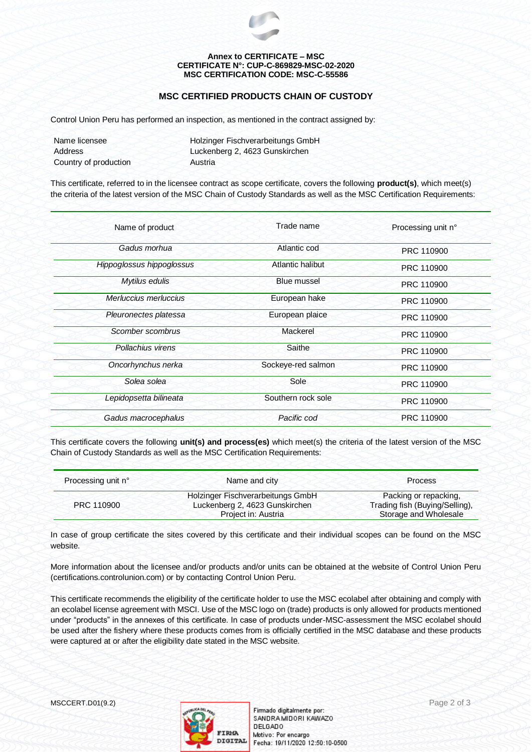

#### **Annex to CERTIFICATE – MSC CERTIFICATE N°: CUP-C-869829-MSC-02-2020 MSC CERTIFICATION CODE: MSC-C-55586**

#### **MSC CERTIFIED PRODUCTS CHAIN OF CUSTODY**

Control Union Peru has performed an inspection, as mentioned in the contract assigned by:

| Name licensee         | Holzinger Fischverarbeitungs GmbH |  |
|-----------------------|-----------------------------------|--|
| Address               | Luckenberg 2, 4623 Gunskirchen    |  |
| Country of production | Austria                           |  |

This certificate, referred to in the licensee contract as scope certificate, covers the following **product(s)**, which meet(s) the criteria of the latest version of the MSC Chain of Custody Standards as well as the MSC Certification Requirements:

| Name of product           | Trade name         | Processing unit n° |
|---------------------------|--------------------|--------------------|
| Gadus morhua              | Atlantic cod       | PRC 110900         |
| Hippoglossus hippoglossus | Atlantic halibut   | PRC 110900         |
| Mytilus edulis            | Blue mussel        | PRC 110900         |
| Merluccius merluccius     | European hake      | PRC 110900         |
| Pleuronectes platessa     | European plaice    | PRC 110900         |
| Scomber scombrus          | Mackerel           | PRC 110900         |
| Pollachius virens         | Saithe             | PRC 110900         |
| Oncorhynchus nerka        | Sockeye-red salmon | PRC 110900         |
| Solea solea               | Sole               | PRC 110900         |
| Lepidopsetta bilineata    | Southern rock sole | PRC 110900         |
| Gadus macrocephalus       | Pacific cod        | PRC 110900         |

This certificate covers the following **unit(s) and process(es)** which meet(s) the criteria of the latest version of the MSC Chain of Custody Standards as well as the MSC Certification Requirements:

| Processing unit n° | Name and city                     | <b>Process</b>                 |
|--------------------|-----------------------------------|--------------------------------|
|                    | Holzinger Fischverarbeitungs GmbH | Packing or repacking,          |
| PRC 110900         | Luckenberg 2, 4623 Gunskirchen    | Trading fish (Buying/Selling), |
|                    | Project in: Austria               | Storage and Wholesale          |

In case of group certificate the sites covered by this certificate and their individual scopes can be found on the MSC website.

More information about the licensee and/or products and/or units can be obtained at the website of Control Union Peru (certifications.controlunion.com) or by contacting Control Union Peru.

This certificate recommends the eligibility of the certificate holder to use the MSC ecolabel after obtaining and comply with an ecolabel license agreement with MSCI. Use of the MSC logo on (trade) products is only allowed for products mentioned under "products" in the annexes of this certificate. In case of products under-MSC-assessment the MSC ecolabel should be used after the fishery where these products comes from is officially certified in the MSC database and these products were captured at or after the eligibility date stated in the MSC website.